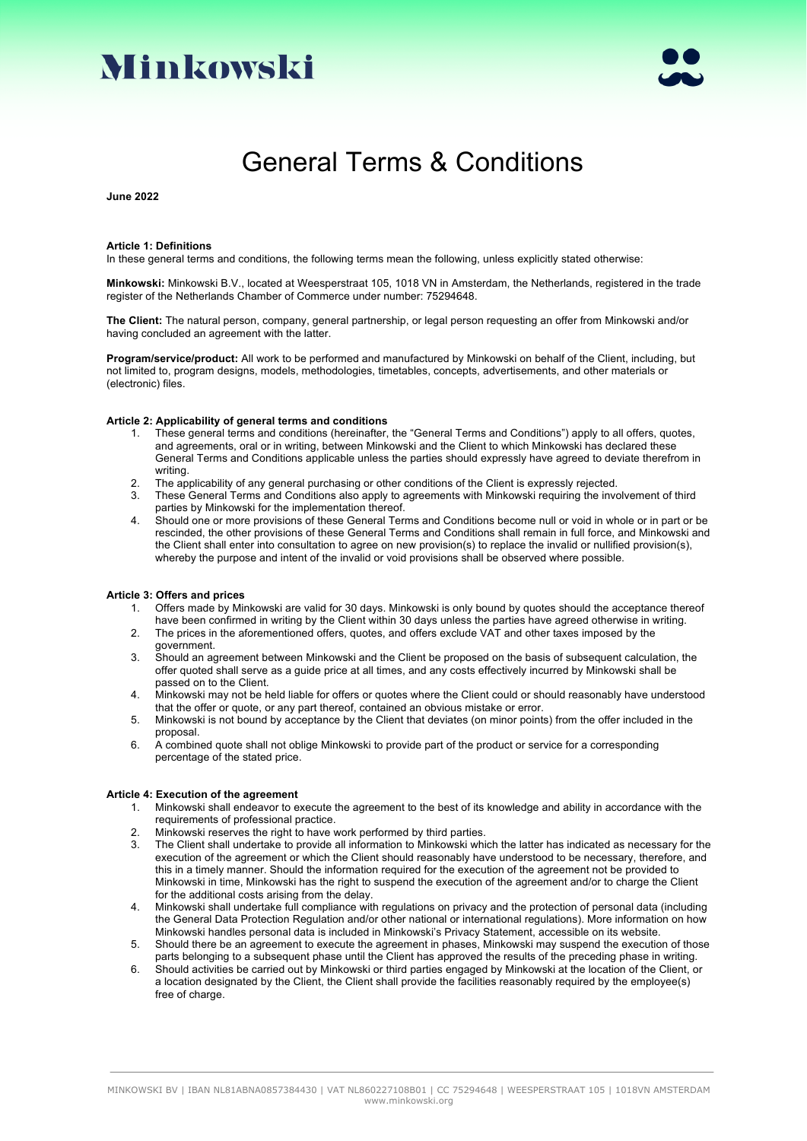



# General Terms & Conditions

**June 2022**

#### **Article 1: Definitions**

In these general terms and conditions, the following terms mean the following, unless explicitly stated otherwise:

**Minkowski:** Minkowski B.V., located at Weesperstraat 105, 1018 VN in Amsterdam, the Netherlands, registered in the trade register of the Netherlands Chamber of Commerce under number: 75294648.

**The Client:** The natural person, company, general partnership, or legal person requesting an offer from Minkowski and/or having concluded an agreement with the latter.

**Program/service/product:** All work to be performed and manufactured by Minkowski on behalf of the Client, including, but not limited to, program designs, models, methodologies, timetables, concepts, advertisements, and other materials or (electronic) files.

### **Article 2: Applicability of general terms and conditions**

- 1. These general terms and conditions (hereinafter, the "General Terms and Conditions") apply to all offers, quotes, and agreements, oral or in writing, between Minkowski and the Client to which Minkowski has declared these General Terms and Conditions applicable unless the parties should expressly have agreed to deviate therefrom in writing.
- 2. The applicability of any general purchasing or other conditions of the Client is expressly rejected.
- 3. These General Terms and Conditions also apply to agreements with Minkowski requiring the involvement of third parties by Minkowski for the implementation thereof.
- 4. Should one or more provisions of these General Terms and Conditions become null or void in whole or in part or be rescinded, the other provisions of these General Terms and Conditions shall remain in full force, and Minkowski and the Client shall enter into consultation to agree on new provision(s) to replace the invalid or nullified provision(s), whereby the purpose and intent of the invalid or void provisions shall be observed where possible.

#### **Article 3: Offers and prices**

- 1. Offers made by Minkowski are valid for 30 days. Minkowski is only bound by quotes should the acceptance thereof have been confirmed in writing by the Client within 30 days unless the parties have agreed otherwise in writing.
- 2. The prices in the aforementioned offers, quotes, and offers exclude VAT and other taxes imposed by the government.
- 3. Should an agreement between Minkowski and the Client be proposed on the basis of subsequent calculation, the offer quoted shall serve as a guide price at all times, and any costs effectively incurred by Minkowski shall be passed on to the Client.
- 4. Minkowski may not be held liable for offers or quotes where the Client could or should reasonably have understood that the offer or quote, or any part thereof, contained an obvious mistake or error.
- 5. Minkowski is not bound by acceptance by the Client that deviates (on minor points) from the offer included in the proposal.
- 6. A combined quote shall not oblige Minkowski to provide part of the product or service for a corresponding percentage of the stated price.

### **Article 4: Execution of the agreement**

- 1. Minkowski shall endeavor to execute the agreement to the best of its knowledge and ability in accordance with the requirements of professional practice.
- 2. Minkowski reserves the right to have work performed by third parties.
- 3. The Client shall undertake to provide all information to Minkowski which the latter has indicated as necessary for the execution of the agreement or which the Client should reasonably have understood to be necessary, therefore, and this in a timely manner. Should the information required for the execution of the agreement not be provided to Minkowski in time, Minkowski has the right to suspend the execution of the agreement and/or to charge the Client for the additional costs arising from the delay.
- 4. Minkowski shall undertake full compliance with regulations on privacy and the protection of personal data (including the General Data Protection Regulation and/or other national or international regulations). More information on how Minkowski handles personal data is included in Minkowski's Privacy Statement, accessible on its website.
- 5. Should there be an agreement to execute the agreement in phases, Minkowski may suspend the execution of those parts belonging to a subsequent phase until the Client has approved the results of the preceding phase in writing.
- 6. Should activities be carried out by Minkowski or third parties engaged by Minkowski at the location of the Client, or a location designated by the Client, the Client shall provide the facilities reasonably required by the employee(s) free of charge.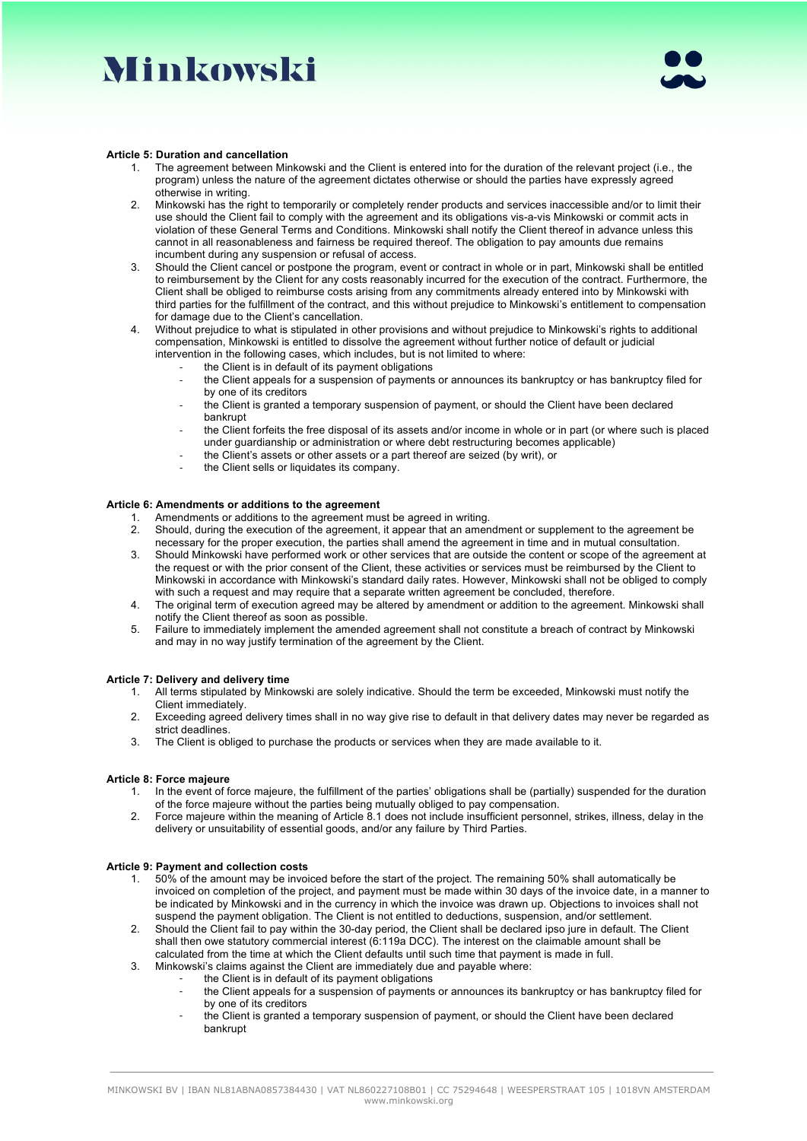# Minkowski



### **Article 5: Duration and cancellation**

- The agreement between Minkowski and the Client is entered into for the duration of the relevant project (i.e., the program) unless the nature of the agreement dictates otherwise or should the parties have expressly agreed otherwise in writing.
- 2. Minkowski has the right to temporarily or completely render products and services inaccessible and/or to limit their use should the Client fail to comply with the agreement and its obligations vis-a-vis Minkowski or commit acts in violation of these General Terms and Conditions. Minkowski shall notify the Client thereof in advance unless this cannot in all reasonableness and fairness be required thereof. The obligation to pay amounts due remains incumbent during any suspension or refusal of access.
- 3. Should the Client cancel or postpone the program, event or contract in whole or in part, Minkowski shall be entitled to reimbursement by the Client for any costs reasonably incurred for the execution of the contract. Furthermore, the Client shall be obliged to reimburse costs arising from any commitments already entered into by Minkowski with third parties for the fulfillment of the contract, and this without prejudice to Minkowski's entitlement to compensation for damage due to the Client's cancellation.
- 4. Without prejudice to what is stipulated in other provisions and without prejudice to Minkowski's rights to additional compensation, Minkowski is entitled to dissolve the agreement without further notice of default or judicial intervention in the following cases, which includes, but is not limited to where:
	- the Client is in default of its payment obligations
	- the Client appeals for a suspension of payments or announces its bankruptcy or has bankruptcy filed for by one of its creditors
	- the Client is granted a temporary suspension of payment, or should the Client have been declared bankrupt
	- the Client forfeits the free disposal of its assets and/or income in whole or in part (or where such is placed under guardianship or administration or where debt restructuring becomes applicable)
	- the Client's assets or other assets or a part thereof are seized (by writ), or
	- the Client sells or liquidates its company.

### **Article 6: Amendments or additions to the agreement**

- 1. Amendments or additions to the agreement must be agreed in writing.<br>2. Should, during the execution of the agreement, it appear that an amen
- 2. Should, during the execution of the agreement, it appear that an amendment or supplement to the agreement be necessary for the proper execution, the parties shall amend the agreement in time and in mutual consultation.
- 3. Should Minkowski have performed work or other services that are outside the content or scope of the agreement at the request or with the prior consent of the Client, these activities or services must be reimbursed by the Client to Minkowski in accordance with Minkowski's standard daily rates. However, Minkowski shall not be obliged to comply with such a request and may require that a separate written agreement be concluded, therefore.
- 4. The original term of execution agreed may be altered by amendment or addition to the agreement. Minkowski shall notify the Client thereof as soon as possible.
- 5. Failure to immediately implement the amended agreement shall not constitute a breach of contract by Minkowski and may in no way justify termination of the agreement by the Client.

### **Article 7: Delivery and delivery time**

- 1. All terms stipulated by Minkowski are solely indicative. Should the term be exceeded, Minkowski must notify the Client immediately.
- 2. Exceeding agreed delivery times shall in no way give rise to default in that delivery dates may never be regarded as strict deadlines.
- 3. The Client is obliged to purchase the products or services when they are made available to it.

### **Article 8: Force majeure**

- 1. In the event of force majeure, the fulfillment of the parties' obligations shall be (partially) suspended for the duration of the force majeure without the parties being mutually obliged to pay compensation.
- 2. Force majeure within the meaning of Article 8.1 does not include insufficient personnel, strikes, illness, delay in the delivery or unsuitability of essential goods, and/or any failure by Third Parties.

### **Article 9: Payment and collection costs**

- 1. 50% of the amount may be invoiced before the start of the project. The remaining 50% shall automatically be invoiced on completion of the project, and payment must be made within 30 days of the invoice date, in a manner to be indicated by Minkowski and in the currency in which the invoice was drawn up. Objections to invoices shall not suspend the payment obligation. The Client is not entitled to deductions, suspension, and/or settlement.
- 2. Should the Client fail to pay within the 30-day period, the Client shall be declared ipso jure in default. The Client shall then owe statutory commercial interest (6:119a DCC). The interest on the claimable amount shall be calculated from the time at which the Client defaults until such time that payment is made in full.
- 3. Minkowski's claims against the Client are immediately due and payable where:
	- the Client is in default of its payment obligations
	- the Client appeals for a suspension of payments or announces its bankruptcy or has bankruptcy filed for by one of its creditors
	- the Client is granted a temporary suspension of payment, or should the Client have been declared bankrupt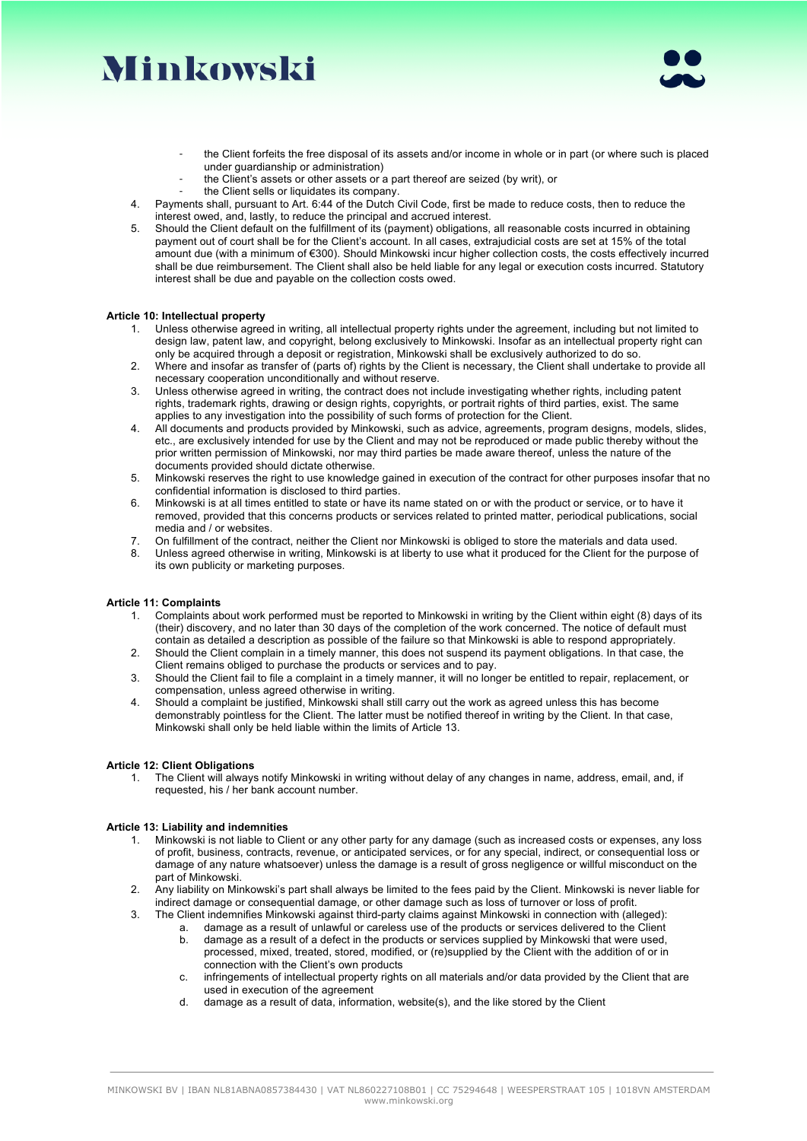# Minkowski



- the Client forfeits the free disposal of its assets and/or income in whole or in part (or where such is placed under guardianship or administration)
- the Client's assets or other assets or a part thereof are seized (by writ), or
- the Client sells or liquidates its company.
- 4. Payments shall, pursuant to Art. 6:44 of the Dutch Civil Code, first be made to reduce costs, then to reduce the interest owed, and, lastly, to reduce the principal and accrued interest.
- 5. Should the Client default on the fulfillment of its (payment) obligations, all reasonable costs incurred in obtaining payment out of court shall be for the Client's account. In all cases, extrajudicial costs are set at 15% of the total amount due (with a minimum of €300). Should Minkowski incur higher collection costs, the costs effectively incurred shall be due reimbursement. The Client shall also be held liable for any legal or execution costs incurred. Statutory interest shall be due and payable on the collection costs owed.

### **Article 10: Intellectual property**

- 1. Unless otherwise agreed in writing, all intellectual property rights under the agreement, including but not limited to design law, patent law, and copyright, belong exclusively to Minkowski. Insofar as an intellectual property right can only be acquired through a deposit or registration, Minkowski shall be exclusively authorized to do so.
- 2. Where and insofar as transfer of (parts of) rights by the Client is necessary, the Client shall undertake to provide all necessary cooperation unconditionally and without reserve.
- 3. Unless otherwise agreed in writing, the contract does not include investigating whether rights, including patent rights, trademark rights, drawing or design rights, copyrights, or portrait rights of third parties, exist. The same applies to any investigation into the possibility of such forms of protection for the Client.
- 4. All documents and products provided by Minkowski, such as advice, agreements, program designs, models, slides, etc., are exclusively intended for use by the Client and may not be reproduced or made public thereby without the prior written permission of Minkowski, nor may third parties be made aware thereof, unless the nature of the documents provided should dictate otherwise.
- 5. Minkowski reserves the right to use knowledge gained in execution of the contract for other purposes insofar that no confidential information is disclosed to third parties.
- 6. Minkowski is at all times entitled to state or have its name stated on or with the product or service, or to have it removed, provided that this concerns products or services related to printed matter, periodical publications, social media and / or websites.
- 7. On fulfillment of the contract, neither the Client nor Minkowski is obliged to store the materials and data used.
- 8. Unless agreed otherwise in writing, Minkowski is at liberty to use what it produced for the Client for the purpose of its own publicity or marketing purposes.

### **Article 11: Complaints**

- 1. Complaints about work performed must be reported to Minkowski in writing by the Client within eight (8) days of its (their) discovery, and no later than 30 days of the completion of the work concerned. The notice of default must contain as detailed a description as possible of the failure so that Minkowski is able to respond appropriately.
- 2. Should the Client complain in a timely manner, this does not suspend its payment obligations. In that case, the Client remains obliged to purchase the products or services and to pay.
- 3. Should the Client fail to file a complaint in a timely manner, it will no longer be entitled to repair, replacement, or compensation, unless agreed otherwise in writing.
- 4. Should a complaint be justified, Minkowski shall still carry out the work as agreed unless this has become demonstrably pointless for the Client. The latter must be notified thereof in writing by the Client. In that case, Minkowski shall only be held liable within the limits of Article 13.

### **Article 12: Client Obligations**

1. The Client will always notify Minkowski in writing without delay of any changes in name, address, email, and, if requested, his / her bank account number.

## **Article 13: Liability and indemnities**

- 1. Minkowski is not liable to Client or any other party for any damage (such as increased costs or expenses, any loss of profit, business, contracts, revenue, or anticipated services, or for any special, indirect, or consequential loss or damage of any nature whatsoever) unless the damage is a result of gross negligence or willful misconduct on the part of Minkowski.
- 2. Any liability on Minkowski's part shall always be limited to the fees paid by the Client. Minkowski is never liable for indirect damage or consequential damage, or other damage such as loss of turnover or loss of profit.
- 3. The Client indemnifies Minkowski against third-party claims against Minkowski in connection with (alleged):
	- a. damage as a result of unlawful or careless use of the products or services delivered to the Client b. damage as a result of a defect in the products or services supplied by Minkowski that were used,
	- processed, mixed, treated, stored, modified, or (re)supplied by the Client with the addition of or in connection with the Client's own products
	- c. infringements of intellectual property rights on all materials and/or data provided by the Client that are used in execution of the agreement
	- d. damage as a result of data, information, website(s), and the like stored by the Client